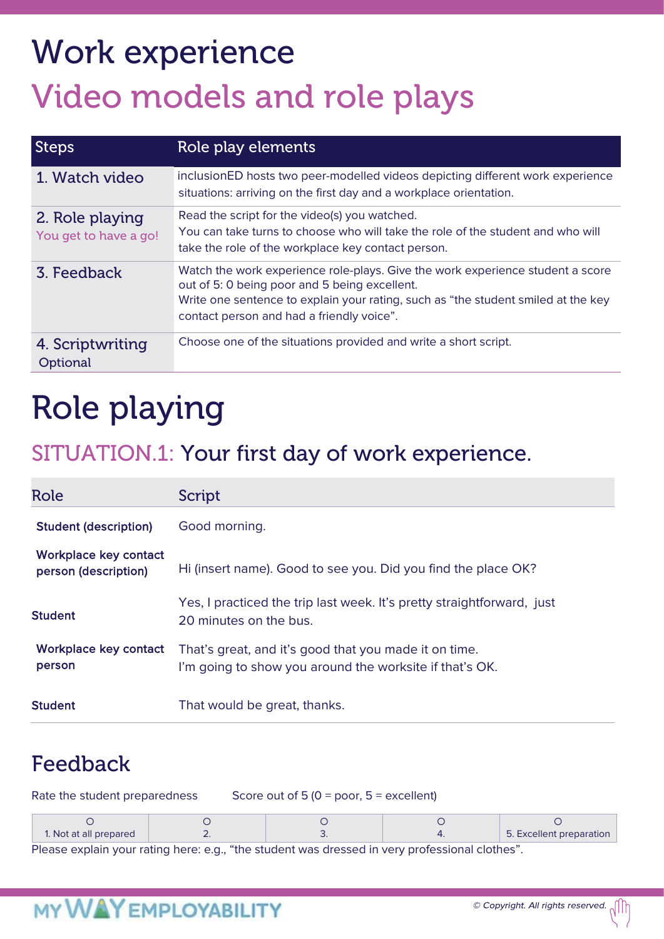# Work experience Video models and role plays

| <b>Steps</b>                             | Role play elements                                                                                                                                                                                                                                                |
|------------------------------------------|-------------------------------------------------------------------------------------------------------------------------------------------------------------------------------------------------------------------------------------------------------------------|
| 1. Watch video                           | inclusionED hosts two peer-modelled videos depicting different work experience<br>situations: arriving on the first day and a workplace orientation.                                                                                                              |
| 2. Role playing<br>You get to have a go! | Read the script for the video(s) you watched.<br>You can take turns to choose who will take the role of the student and who will<br>take the role of the workplace key contact person.                                                                            |
| 3. Feedback                              | Watch the work experience role-plays. Give the work experience student a score<br>out of 5: 0 being poor and 5 being excellent.<br>Write one sentence to explain your rating, such as "the student smiled at the key<br>contact person and had a friendly voice". |
| 4. Scriptwriting<br>Optional             | Choose one of the situations provided and write a short script.                                                                                                                                                                                                   |

### Role playing

### SITUATION.1: Your first day of work experience.

| Role                                          | Script                                                                                                           |
|-----------------------------------------------|------------------------------------------------------------------------------------------------------------------|
| <b>Student (description)</b>                  | Good morning.                                                                                                    |
| Workplace key contact<br>person (description) | Hi (insert name). Good to see you. Did you find the place OK?                                                    |
| <b>Student</b>                                | Yes, I practiced the trip last week. It's pretty straightforward, just<br>20 minutes on the bus.                 |
| Workplace key contact<br>person               | That's great, and it's good that you made it on time.<br>I'm going to show you around the worksite if that's OK. |
| <b>Student</b>                                | That would be great, thanks.                                                                                     |

### Feedback

| Rate the student preparedness | Score out of 5 (0 = poor, $5 =$ excellent) |  |                          |
|-------------------------------|--------------------------------------------|--|--------------------------|
|                               |                                            |  |                          |
| 1. Not at all prepared        |                                            |  | 5. Excellent preparation |

Please explain your rating here: e.g., "the student was dressed in very professional clothes".

### **MY WAY EMPLOYABILITY**